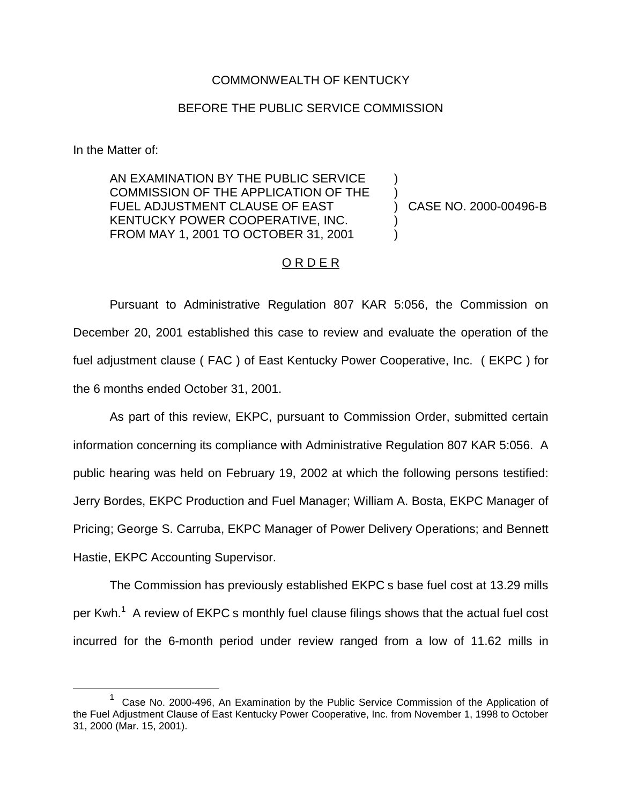## COMMONWEALTH OF KENTUCKY

## BEFORE THE PUBLIC SERVICE COMMISSION

In the Matter of:

AN EXAMINATION BY THE PUBLIC SERVICE COMMISSION OF THE APPLICATION OF THE FUEL ADJUSTMENT CLAUSE OF EAST KENTUCKY POWER COOPERATIVE, INC. FROM MAY 1, 2001 TO OCTOBER 31, 2001

) CASE NO. 2000-00496-B

) )

) )

## O R D E R

Pursuant to Administrative Regulation 807 KAR 5:056, the Commission on December 20, 2001 established this case to review and evaluate the operation of the fuel adjustment clause ( FAC ) of East Kentucky Power Cooperative, Inc. ( EKPC ) for the 6 months ended October 31, 2001.

As part of this review, EKPC, pursuant to Commission Order, submitted certain information concerning its compliance with Administrative Regulation 807 KAR 5:056. A public hearing was held on February 19, 2002 at which the following persons testified: Jerry Bordes, EKPC Production and Fuel Manager; William A. Bosta, EKPC Manager of Pricing; George S. Carruba, EKPC Manager of Power Delivery Operations; and Bennett Hastie, EKPC Accounting Supervisor.

The Commission has previously established EKPC s base fuel cost at 13.29 mills per Kwh.<sup>1</sup> A review of EKPC s monthly fuel clause filings shows that the actual fuel cost incurred for the 6-month period under review ranged from a low of 11.62 mills in

<sup>1</sup> Case No. 2000-496, An Examination by the Public Service Commission of the Application of the Fuel Adjustment Clause of East Kentucky Power Cooperative, Inc. from November 1, 1998 to October 31, 2000 (Mar. 15, 2001).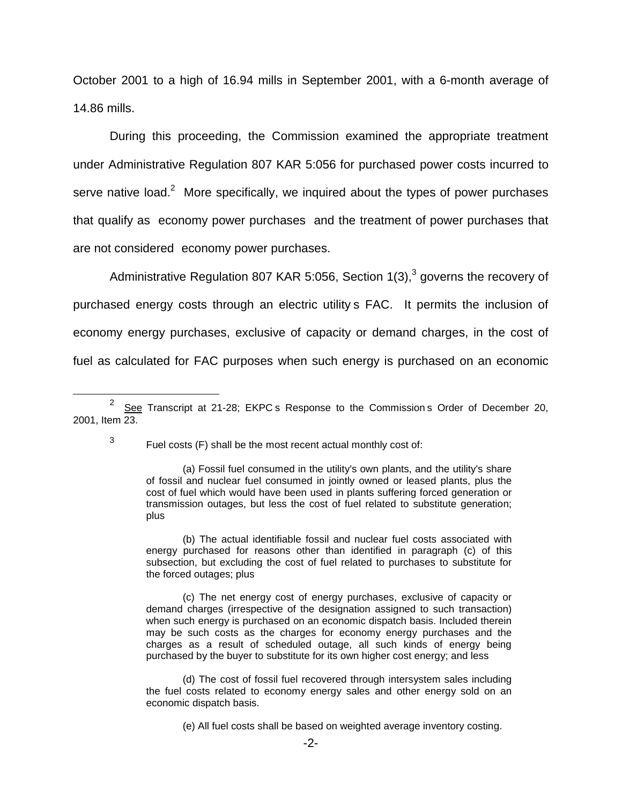October 2001 to a high of 16.94 mills in September 2001, with a 6-month average of 14.86 mills.

During this proceeding, the Commission examined the appropriate treatment under Administrative Regulation 807 KAR 5:056 for purchased power costs incurred to serve native load.<sup>2</sup> More specifically, we inquired about the types of power purchases that qualify as economy power purchases and the treatment of power purchases that are not considered economy power purchases.

Administrative Regulation 807 KAR 5:056, Section 1(3),<sup>3</sup> governs the recovery of purchased energy costs through an electric utility s FAC. It permits the inclusion of economy energy purchases, exclusive of capacity or demand charges, in the cost of fuel as calculated for FAC purposes when such energy is purchased on an economic

(b) The actual identifiable fossil and nuclear fuel costs associated with energy purchased for reasons other than identified in paragraph (c) of this subsection, but excluding the cost of fuel related to purchases to substitute for the forced outages; plus

(c) The net energy cost of energy purchases, exclusive of capacity or demand charges (irrespective of the designation assigned to such transaction) when such energy is purchased on an economic dispatch basis. Included therein may be such costs as the charges for economy energy purchases and the charges as a result of scheduled outage, all such kinds of energy being purchased by the buyer to substitute for its own higher cost energy; and less

(d) The cost of fossil fuel recovered through intersystem sales including the fuel costs related to economy energy sales and other energy sold on an economic dispatch basis.

 $2^{2}$  See Transcript at 21-28; EKPC s Response to the Commission s Order of December 20, 2001, Item 23.

 $3$  Fuel costs (F) shall be the most recent actual monthly cost of:

<sup>(</sup>a) Fossil fuel consumed in the utility's own plants, and the utility's share of fossil and nuclear fuel consumed in jointly owned or leased plants, plus the cost of fuel which would have been used in plants suffering forced generation or transmission outages, but less the cost of fuel related to substitute generation; plus

<sup>(</sup>e) All fuel costs shall be based on weighted average inventory costing.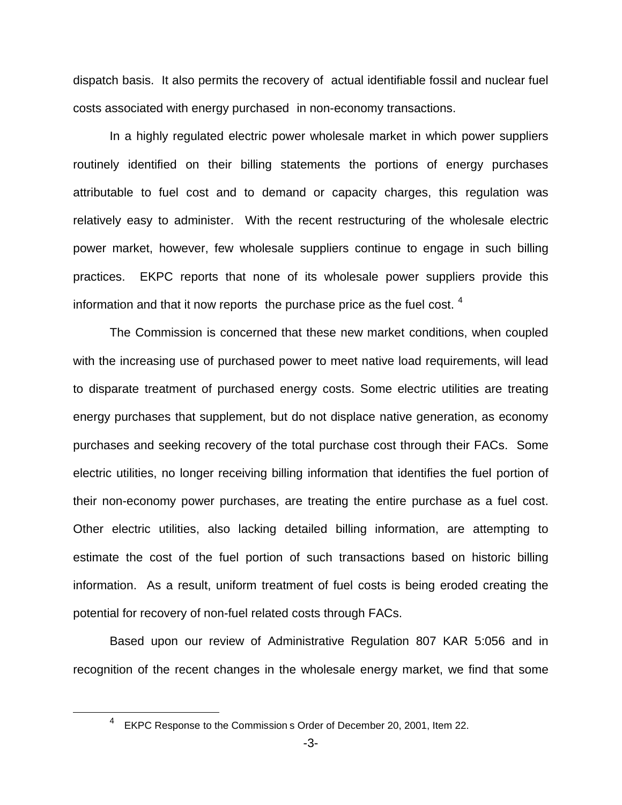dispatch basis. It also permits the recovery of actual identifiable fossil and nuclear fuel costs associated with energy purchased in non-economy transactions.

In a highly regulated electric power wholesale market in which power suppliers routinely identified on their billing statements the portions of energy purchases attributable to fuel cost and to demand or capacity charges, this regulation was relatively easy to administer. With the recent restructuring of the wholesale electric power market, however, few wholesale suppliers continue to engage in such billing practices. EKPC reports that none of its wholesale power suppliers provide this information and that it now reports the purchase price as the fuel cost.  $4$ 

The Commission is concerned that these new market conditions, when coupled with the increasing use of purchased power to meet native load requirements, will lead to disparate treatment of purchased energy costs. Some electric utilities are treating energy purchases that supplement, but do not displace native generation, as economy purchases and seeking recovery of the total purchase cost through their FACs. Some electric utilities, no longer receiving billing information that identifies the fuel portion of their non-economy power purchases, are treating the entire purchase as a fuel cost. Other electric utilities, also lacking detailed billing information, are attempting to estimate the cost of the fuel portion of such transactions based on historic billing information. As a result, uniform treatment of fuel costs is being eroded creating the potential for recovery of non-fuel related costs through FACs.

Based upon our review of Administrative Regulation 807 KAR 5:056 and in recognition of the recent changes in the wholesale energy market, we find that some

<sup>4</sup> EKPC Response to the Commission s Order of December 20, 2001, Item 22.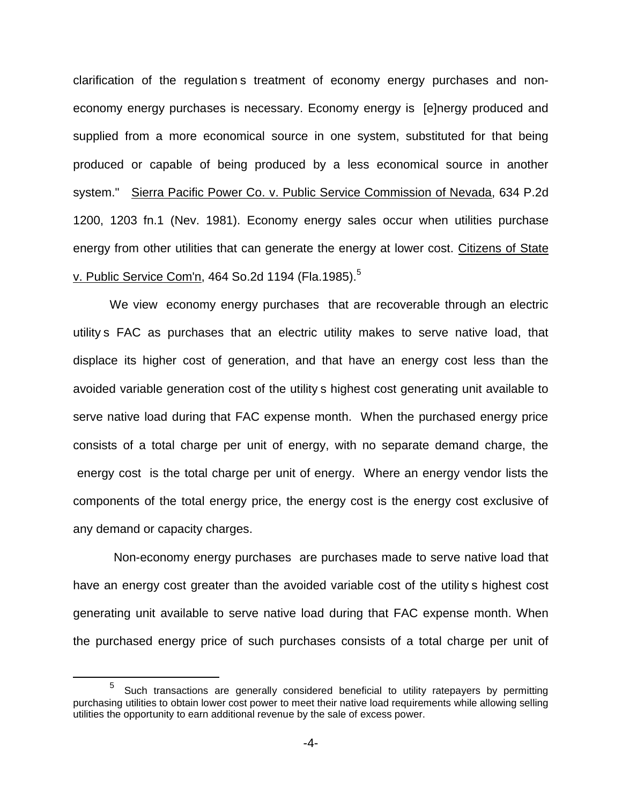clarification of the regulation s treatment of economy energy purchases and noneconomy energy purchases is necessary. Economy energy is [e]nergy produced and supplied from a more economical source in one system, substituted for that being produced or capable of being produced by a less economical source in another system." Sierra Pacific Power Co. v. Public Service Commission of Nevada, 634 P.2d 1200, 1203 fn.1 (Nev. 1981). Economy energy sales occur when utilities purchase energy from other utilities that can generate the energy at lower cost. Citizens of State v. Public Service Com'n, 464 So.2d 1194 (Fla.1985).<sup>5</sup>

We view economy energy purchases that are recoverable through an electric utility s FAC as purchases that an electric utility makes to serve native load, that displace its higher cost of generation, and that have an energy cost less than the avoided variable generation cost of the utility s highest cost generating unit available to serve native load during that FAC expense month. When the purchased energy price consists of a total charge per unit of energy, with no separate demand charge, the energy cost is the total charge per unit of energy. Where an energy vendor lists the components of the total energy price, the energy cost is the energy cost exclusive of any demand or capacity charges.

 Non-economy energy purchases are purchases made to serve native load that have an energy cost greater than the avoided variable cost of the utility s highest cost generating unit available to serve native load during that FAC expense month. When the purchased energy price of such purchases consists of a total charge per unit of

<sup>5</sup> Such transactions are generally considered beneficial to utility ratepayers by permitting purchasing utilities to obtain lower cost power to meet their native load requirements while allowing selling utilities the opportunity to earn additional revenue by the sale of excess power.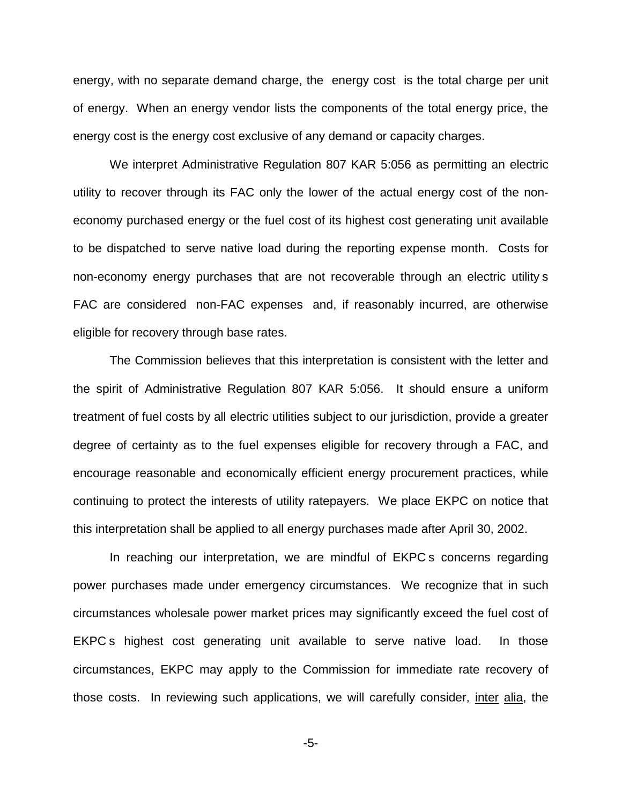energy, with no separate demand charge, the energy cost is the total charge per unit of energy. When an energy vendor lists the components of the total energy price, the energy cost is the energy cost exclusive of any demand or capacity charges.

We interpret Administrative Regulation 807 KAR 5:056 as permitting an electric utility to recover through its FAC only the lower of the actual energy cost of the noneconomy purchased energy or the fuel cost of its highest cost generating unit available to be dispatched to serve native load during the reporting expense month. Costs for non-economy energy purchases that are not recoverable through an electric utility s FAC are considered non-FAC expenses and, if reasonably incurred, are otherwise eligible for recovery through base rates.

The Commission believes that this interpretation is consistent with the letter and the spirit of Administrative Regulation 807 KAR 5:056. It should ensure a uniform treatment of fuel costs by all electric utilities subject to our jurisdiction, provide a greater degree of certainty as to the fuel expenses eligible for recovery through a FAC, and encourage reasonable and economically efficient energy procurement practices, while continuing to protect the interests of utility ratepayers. We place EKPC on notice that this interpretation shall be applied to all energy purchases made after April 30, 2002.

In reaching our interpretation, we are mindful of EKPC s concerns regarding power purchases made under emergency circumstances. We recognize that in such circumstances wholesale power market prices may significantly exceed the fuel cost of EKPC s highest cost generating unit available to serve native load. In those circumstances, EKPC may apply to the Commission for immediate rate recovery of those costs. In reviewing such applications, we will carefully consider, inter alia, the

-5-